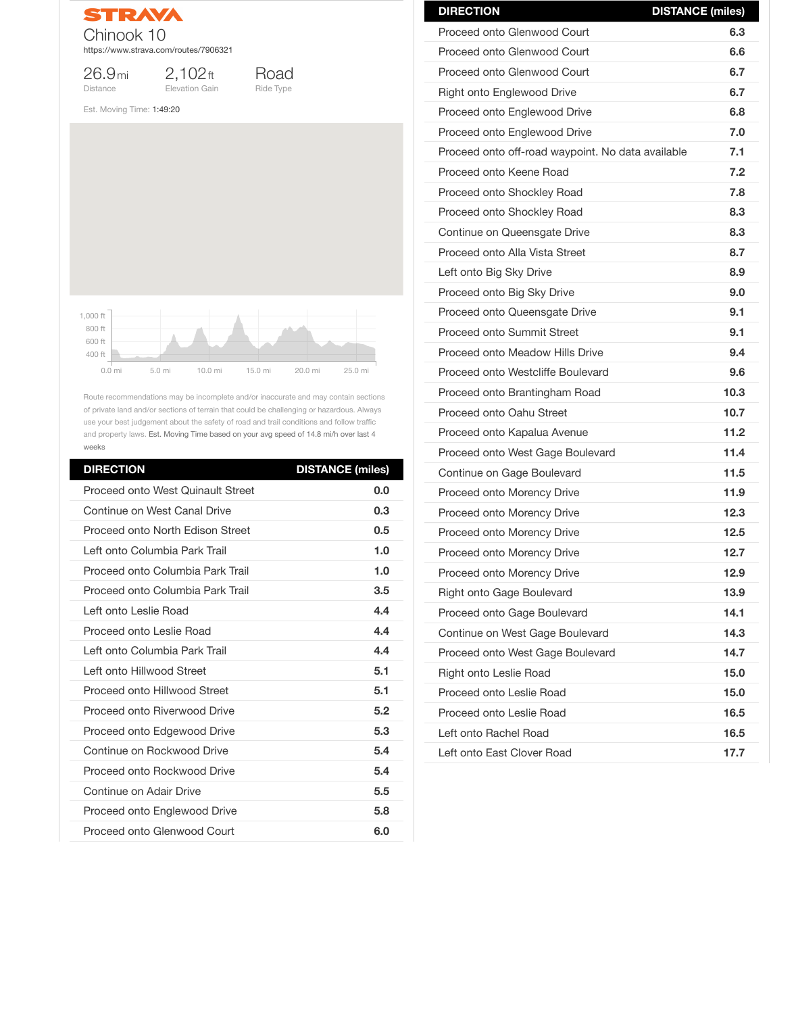

2,102ft Elevation Gain

26.9mi Distance



Est. Moving Time: 1:49:20

Route recommendations may be incomplete and/or inaccurate and may contain sections of private land and/or sections of terrain that could be challenging or hazardous. Always use your best judgement about the safety of road and trail conditions and follow traffic and property laws. Est. Moving Time based on your avg speed of 14.8 mi/h over last 4 weeks

| <b>DIRECTION</b>                                  | <b>DISTANCE (miles)</b> |
|---------------------------------------------------|-------------------------|
| <b>Proceed onto Glenwood Court</b>                | 6.3                     |
| <b>Proceed onto Glenwood Court</b>                | 6.6                     |
| <b>Proceed onto Glenwood Court</b>                | 6.7                     |
| <b>Right onto Englewood Drive</b>                 | 6.7                     |
| <b>Proceed onto Englewood Drive</b>               | 6.8                     |
| <b>Proceed onto Englewood Drive</b>               | 7.0                     |
| Proceed onto off-road waypoint. No data available | 7.1                     |
| Proceed onto Keene Road                           | 7.2                     |
| <b>Proceed onto Shockley Road</b>                 | 7.8                     |
| <b>Proceed onto Shockley Road</b>                 | 8.3                     |
| Continue on Queensgate Drive                      | 8.3                     |
| Proceed onto Alla Vista Street                    | 8.7                     |
| Left onto Big Sky Drive                           | 8.9                     |
| Proceed onto Big Sky Drive                        | 9.0                     |
| Proceed onto Queensgate Drive                     | 9.1                     |
| <b>Proceed onto Summit Street</b>                 | 9.1                     |
| <b>Proceed onto Meadow Hills Drive</b>            | 9.4                     |
| <b>Proceed onto Westcliffe Boulevard</b>          | 9.6                     |
| Proceed onto Brantingham Road                     | 10.3                    |
| <b>Proceed onto Oahu Street</b>                   | 10.7                    |
| Proceed onto Kapalua Avenue                       | 11.2                    |
| Proceed onto West Gage Boulevard                  | 11.4                    |
| <b>Continue on Gage Boulevard</b>                 | 11.5                    |
| <b>Proceed onto Morency Drive</b>                 | 11.9                    |
| <b>Proceed onto Morency Drive</b>                 | 12.3                    |
| <b>Proceed onto Morency Drive</b>                 | 12.5                    |
| <b>Proceed onto Morency Drive</b>                 | 12.7                    |
| <b>Proceed onto Morency Drive</b>                 | 12.9                    |
| <b>Right onto Gage Boulevard</b>                  | 13.9                    |
| <b>Proceed onto Gage Boulevard</b>                | 14.1                    |

| <b>DIRECTION</b>                         | <b>DISTANCE (miles)</b> |
|------------------------------------------|-------------------------|
| <b>Proceed onto West Quinault Street</b> | 0.0                     |
| Continue on West Canal Drive             | 0.3                     |
| <b>Proceed onto North Edison Street</b>  | 0.5                     |
| Left onto Columbia Park Trail            | 1.0                     |
| Proceed onto Columbia Park Trail         | 1.0                     |
| Proceed onto Columbia Park Trail         | 3.5                     |
| Left onto Leslie Road                    | 4.4                     |
| <b>Proceed onto Leslie Road</b>          | 4.4                     |
| Left onto Columbia Park Trail            | 4.4                     |
| Left onto Hillwood Street                | 5.1                     |
| <b>Proceed onto Hillwood Street</b>      | 5.1                     |
| <b>Proceed onto Riverwood Drive</b>      | 5.2                     |
| <b>Proceed onto Edgewood Drive</b>       | 5.3                     |
| Continue on Rockwood Drive               | 5.4                     |
| <b>Proceed onto Rockwood Drive</b>       | 5.4                     |
| <b>Continue on Adair Drive</b>           | 5.5                     |
| <b>Proceed onto Englewood Drive</b>      | 5.8                     |
| <b>Proceed onto Glenwood Court</b>       | 6.0                     |



| Continue on West Gage Boulevard  | 14.3 |
|----------------------------------|------|
| Proceed onto West Gage Boulevard | 14.7 |
| <b>Right onto Leslie Road</b>    | 15.0 |
| Proceed onto Leslie Road         | 15.0 |
| Proceed onto Leslie Road         | 16.5 |
| Left onto Rachel Road            | 16.5 |
| Left onto East Clover Road       | 17.7 |